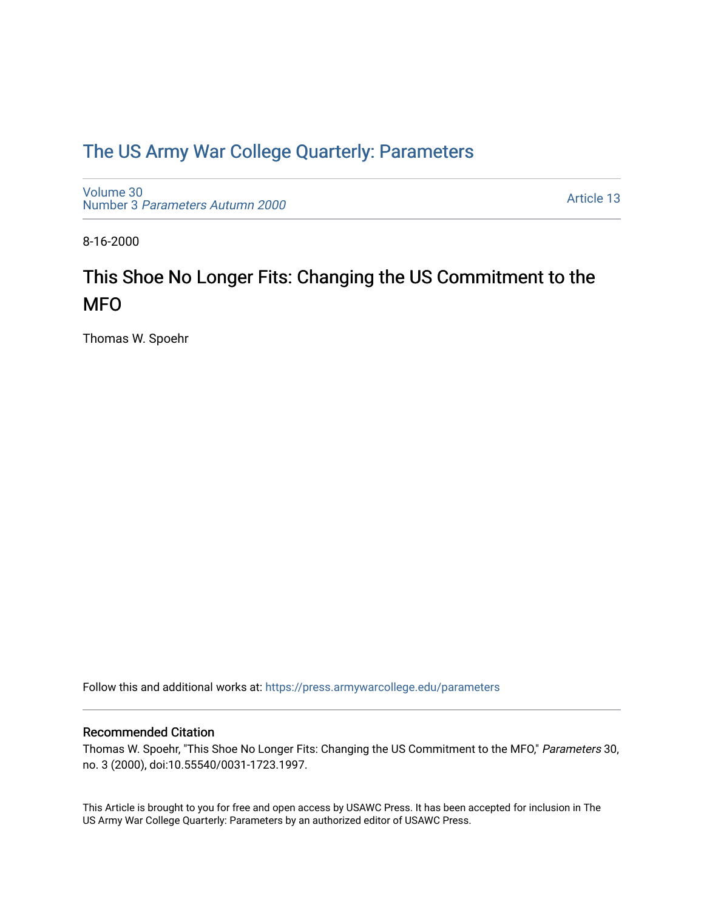## [The US Army War College Quarterly: Parameters](https://press.armywarcollege.edu/parameters)

[Volume 30](https://press.armywarcollege.edu/parameters/vol30) Number 3 [Parameters Autumn 2000](https://press.armywarcollege.edu/parameters/vol30/iss3)

[Article 13](https://press.armywarcollege.edu/parameters/vol30/iss3/13) 

8-16-2000

# This Shoe No Longer Fits: Changing the US Commitment to the MFO

Thomas W. Spoehr

Follow this and additional works at: [https://press.armywarcollege.edu/parameters](https://press.armywarcollege.edu/parameters?utm_source=press.armywarcollege.edu%2Fparameters%2Fvol30%2Fiss3%2F13&utm_medium=PDF&utm_campaign=PDFCoverPages) 

#### Recommended Citation

Thomas W. Spoehr, "This Shoe No Longer Fits: Changing the US Commitment to the MFO," Parameters 30, no. 3 (2000), doi:10.55540/0031-1723.1997.

This Article is brought to you for free and open access by USAWC Press. It has been accepted for inclusion in The US Army War College Quarterly: Parameters by an authorized editor of USAWC Press.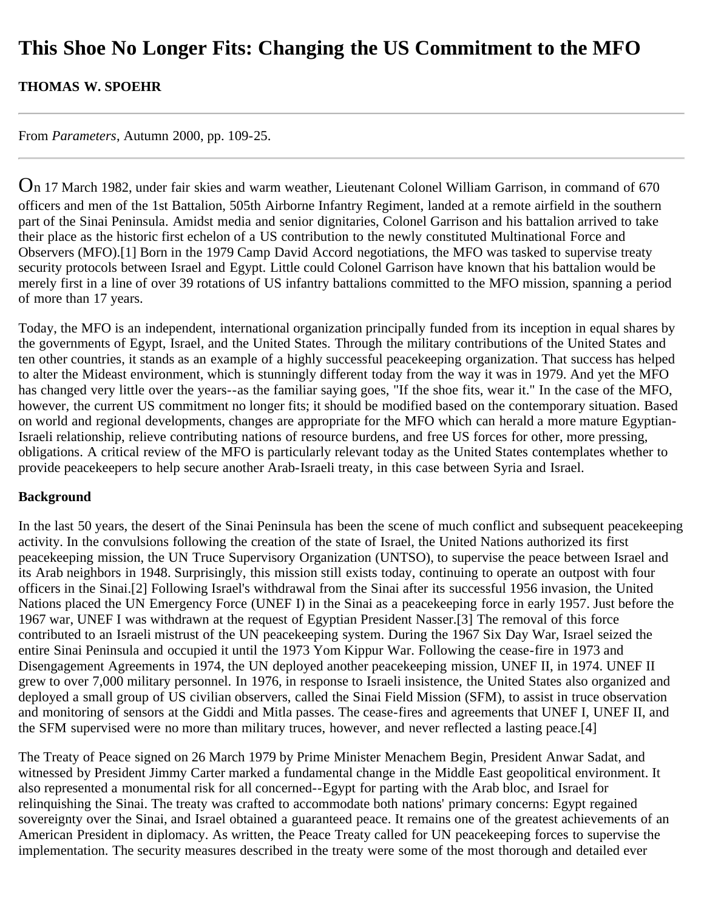## **This Shoe No Longer Fits: Changing the US Commitment to the MFO**

**THOMAS W. SPOEHR**

From *Parameters*, Autumn 2000, pp. 109-25.

On 17 March 1982, under fair skies and warm weather, Lieutenant Colonel William Garrison, in command of 670 officers and men of the 1st Battalion, 505th Airborne Infantry Regiment, landed at a remote airfield in the southern part of the Sinai Peninsula. Amidst media and senior dignitaries, Colonel Garrison and his battalion arrived to take their place as the historic first echelon of a US contribution to the newly constituted Multinational Force and Observers (MFO).[1] Born in the 1979 Camp David Accord negotiations, the MFO was tasked to supervise treaty security protocols between Israel and Egypt. Little could Colonel Garrison have known that his battalion would be merely first in a line of over 39 rotations of US infantry battalions committed to the MFO mission, spanning a period of more than 17 years.

Today, the MFO is an independent, international organization principally funded from its inception in equal shares by the governments of Egypt, Israel, and the United States. Through the military contributions of the United States and ten other countries, it stands as an example of a highly successful peacekeeping organization. That success has helped to alter the Mideast environment, which is stunningly different today from the way it was in 1979. And yet the MFO has changed very little over the years--as the familiar saying goes, "If the shoe fits, wear it." In the case of the MFO, however, the current US commitment no longer fits; it should be modified based on the contemporary situation. Based on world and regional developments, changes are appropriate for the MFO which can herald a more mature Egyptian-Israeli relationship, relieve contributing nations of resource burdens, and free US forces for other, more pressing, obligations. A critical review of the MFO is particularly relevant today as the United States contemplates whether to provide peacekeepers to help secure another Arab-Israeli treaty, in this case between Syria and Israel.

#### **Background**

In the last 50 years, the desert of the Sinai Peninsula has been the scene of much conflict and subsequent peacekeeping activity. In the convulsions following the creation of the state of Israel, the United Nations authorized its first peacekeeping mission, the UN Truce Supervisory Organization (UNTSO), to supervise the peace between Israel and its Arab neighbors in 1948. Surprisingly, this mission still exists today, continuing to operate an outpost with four officers in the Sinai.[2] Following Israel's withdrawal from the Sinai after its successful 1956 invasion, the United Nations placed the UN Emergency Force (UNEF I) in the Sinai as a peacekeeping force in early 1957. Just before the 1967 war, UNEF I was withdrawn at the request of Egyptian President Nasser.[3] The removal of this force contributed to an Israeli mistrust of the UN peacekeeping system. During the 1967 Six Day War, Israel seized the entire Sinai Peninsula and occupied it until the 1973 Yom Kippur War. Following the cease-fire in 1973 and Disengagement Agreements in 1974, the UN deployed another peacekeeping mission, UNEF II, in 1974. UNEF II grew to over 7,000 military personnel. In 1976, in response to Israeli insistence, the United States also organized and deployed a small group of US civilian observers, called the Sinai Field Mission (SFM), to assist in truce observation and monitoring of sensors at the Giddi and Mitla passes. The cease-fires and agreements that UNEF I, UNEF II, and the SFM supervised were no more than military truces, however, and never reflected a lasting peace.[4]

The Treaty of Peace signed on 26 March 1979 by Prime Minister Menachem Begin, President Anwar Sadat, and witnessed by President Jimmy Carter marked a fundamental change in the Middle East geopolitical environment. It also represented a monumental risk for all concerned--Egypt for parting with the Arab bloc, and Israel for relinquishing the Sinai. The treaty was crafted to accommodate both nations' primary concerns: Egypt regained sovereignty over the Sinai, and Israel obtained a guaranteed peace. It remains one of the greatest achievements of an American President in diplomacy. As written, the Peace Treaty called for UN peacekeeping forces to supervise the implementation. The security measures described in the treaty were some of the most thorough and detailed ever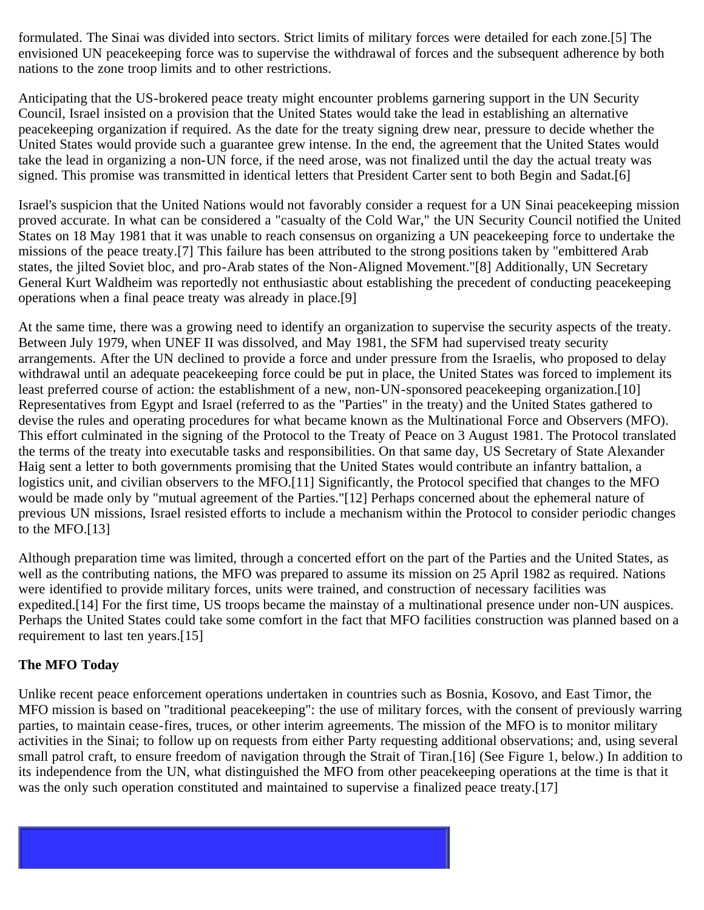formulated. The Sinai was divided into sectors. Strict limits of military forces were detailed for each zone.[5] The envisioned UN peacekeeping force was to supervise the withdrawal of forces and the subsequent adherence by both nations to the zone troop limits and to other restrictions.

Anticipating that the US-brokered peace treaty might encounter problems garnering support in the UN Security Council, Israel insisted on a provision that the United States would take the lead in establishing an alternative peacekeeping organization if required. As the date for the treaty signing drew near, pressure to decide whether the United States would provide such a guarantee grew intense. In the end, the agreement that the United States would take the lead in organizing a non-UN force, if the need arose, was not finalized until the day the actual treaty was signed. This promise was transmitted in identical letters that President Carter sent to both Begin and Sadat.[6]

Israel's suspicion that the United Nations would not favorably consider a request for a UN Sinai peacekeeping mission proved accurate. In what can be considered a "casualty of the Cold War," the UN Security Council notified the United States on 18 May 1981 that it was unable to reach consensus on organizing a UN peacekeeping force to undertake the missions of the peace treaty.[7] This failure has been attributed to the strong positions taken by "embittered Arab states, the jilted Soviet bloc, and pro-Arab states of the Non-Aligned Movement."[8] Additionally, UN Secretary General Kurt Waldheim was reportedly not enthusiastic about establishing the precedent of conducting peacekeeping operations when a final peace treaty was already in place.[9]

At the same time, there was a growing need to identify an organization to supervise the security aspects of the treaty. Between July 1979, when UNEF II was dissolved, and May 1981, the SFM had supervised treaty security arrangements. After the UN declined to provide a force and under pressure from the Israelis, who proposed to delay withdrawal until an adequate peacekeeping force could be put in place, the United States was forced to implement its least preferred course of action: the establishment of a new, non-UN-sponsored peacekeeping organization.[10] Representatives from Egypt and Israel (referred to as the "Parties" in the treaty) and the United States gathered to devise the rules and operating procedures for what became known as the Multinational Force and Observers (MFO). This effort culminated in the signing of the Protocol to the Treaty of Peace on 3 August 1981. The Protocol translated the terms of the treaty into executable tasks and responsibilities. On that same day, US Secretary of State Alexander Haig sent a letter to both governments promising that the United States would contribute an infantry battalion, a logistics unit, and civilian observers to the MFO.[11] Significantly, the Protocol specified that changes to the MFO would be made only by "mutual agreement of the Parties."[12] Perhaps concerned about the ephemeral nature of previous UN missions, Israel resisted efforts to include a mechanism within the Protocol to consider periodic changes to the MFO.[13]

Although preparation time was limited, through a concerted effort on the part of the Parties and the United States, as well as the contributing nations, the MFO was prepared to assume its mission on 25 April 1982 as required. Nations were identified to provide military forces, units were trained, and construction of necessary facilities was expedited.[14] For the first time, US troops became the mainstay of a multinational presence under non-UN auspices. Perhaps the United States could take some comfort in the fact that MFO facilities construction was planned based on a requirement to last ten years.[15]

#### **The MFO Today**

Unlike recent peace enforcement operations undertaken in countries such as Bosnia, Kosovo, and East Timor, the MFO mission is based on "traditional peacekeeping": the use of military forces, with the consent of previously warring parties, to maintain cease-fires, truces, or other interim agreements. The mission of the MFO is to monitor military activities in the Sinai; to follow up on requests from either Party requesting additional observations; and, using several small patrol craft, to ensure freedom of navigation through the Strait of Tiran.[16] (See Figure 1, below.) In addition to its independence from the UN, what distinguished the MFO from other peacekeeping operations at the time is that it was the only such operation constituted and maintained to supervise a finalized peace treaty.[17]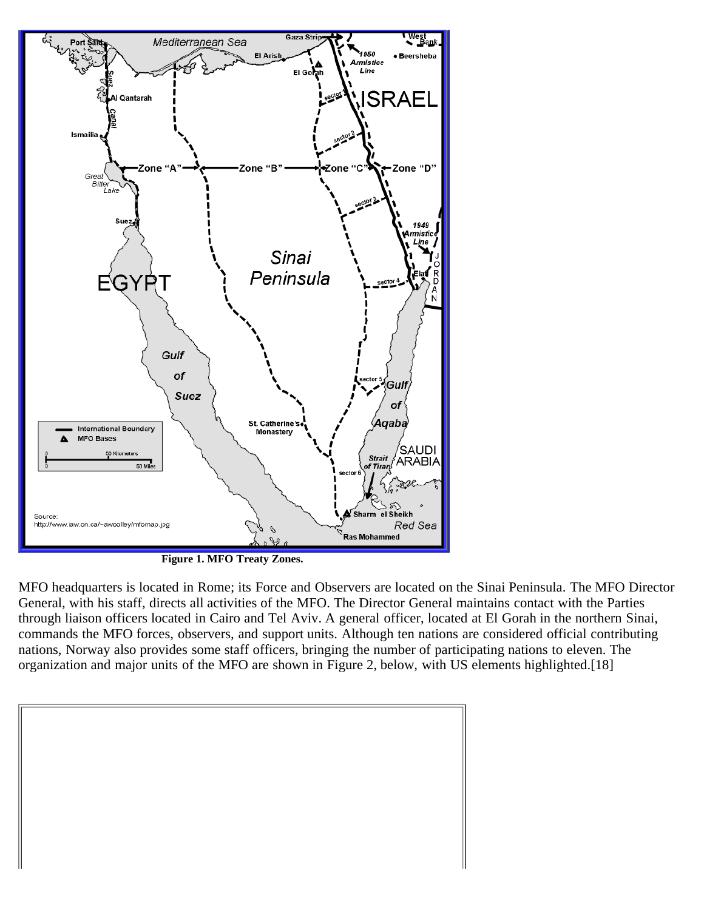

**Figure 1. MFO Treaty Zones.**

MFO headquarters is located in Rome; its Force and Observers are located on the Sinai Peninsula. The MFO Director General, with his staff, directs all activities of the MFO. The Director General maintains contact with the Parties through liaison officers located in Cairo and Tel Aviv. A general officer, located at El Gorah in the northern Sinai, commands the MFO forces, observers, and support units. Although ten nations are considered official contributing nations, Norway also provides some staff officers, bringing the number of participating nations to eleven. The organization and major units of the MFO are shown in Figure 2, below, with US elements highlighted.[18]

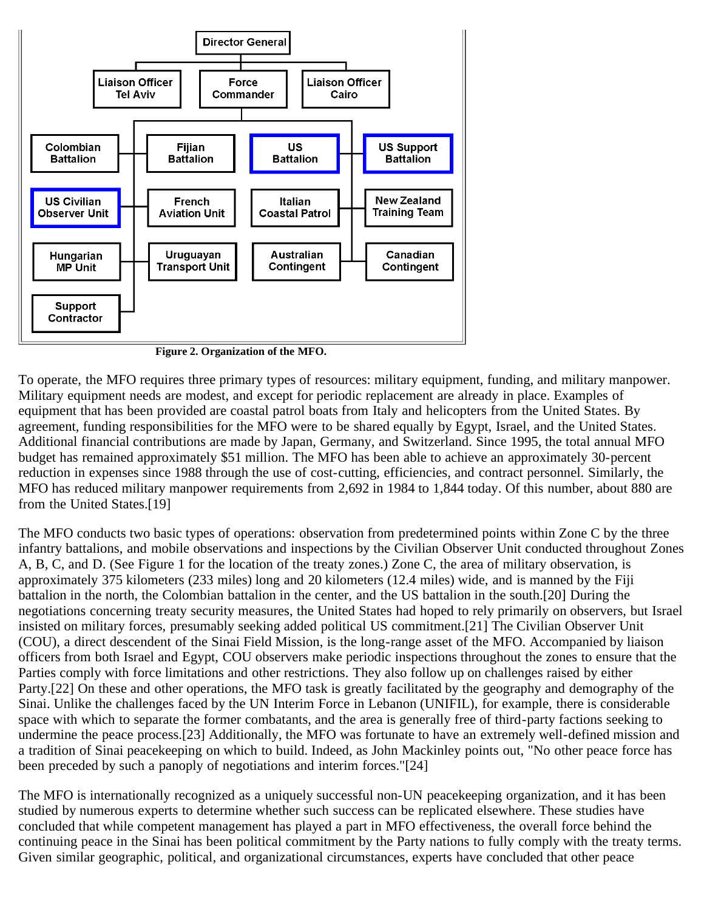

**Figure 2. Organization of the MFO.**

To operate, the MFO requires three primary types of resources: military equipment, funding, and military manpower. Military equipment needs are modest, and except for periodic replacement are already in place. Examples of equipment that has been provided are coastal patrol boats from Italy and helicopters from the United States. By agreement, funding responsibilities for the MFO were to be shared equally by Egypt, Israel, and the United States. Additional financial contributions are made by Japan, Germany, and Switzerland. Since 1995, the total annual MFO budget has remained approximately \$51 million. The MFO has been able to achieve an approximately 30-percent reduction in expenses since 1988 through the use of cost-cutting, efficiencies, and contract personnel. Similarly, the MFO has reduced military manpower requirements from 2,692 in 1984 to 1,844 today. Of this number, about 880 are from the United States.[19]

The MFO conducts two basic types of operations: observation from predetermined points within Zone C by the three infantry battalions, and mobile observations and inspections by the Civilian Observer Unit conducted throughout Zones A, B, C, and D. (See Figure 1 for the location of the treaty zones.) Zone C, the area of military observation, is approximately 375 kilometers (233 miles) long and 20 kilometers (12.4 miles) wide, and is manned by the Fiji battalion in the north, the Colombian battalion in the center, and the US battalion in the south.[20] During the negotiations concerning treaty security measures, the United States had hoped to rely primarily on observers, but Israel insisted on military forces, presumably seeking added political US commitment.[21] The Civilian Observer Unit (COU), a direct descendent of the Sinai Field Mission, is the long-range asset of the MFO. Accompanied by liaison officers from both Israel and Egypt, COU observers make periodic inspections throughout the zones to ensure that the Parties comply with force limitations and other restrictions. They also follow up on challenges raised by either Party.[22] On these and other operations, the MFO task is greatly facilitated by the geography and demography of the Sinai. Unlike the challenges faced by the UN Interim Force in Lebanon (UNIFIL), for example, there is considerable space with which to separate the former combatants, and the area is generally free of third-party factions seeking to undermine the peace process.[23] Additionally, the MFO was fortunate to have an extremely well-defined mission and a tradition of Sinai peacekeeping on which to build. Indeed, as John Mackinley points out, "No other peace force has been preceded by such a panoply of negotiations and interim forces."[24]

The MFO is internationally recognized as a uniquely successful non-UN peacekeeping organization, and it has been studied by numerous experts to determine whether such success can be replicated elsewhere. These studies have concluded that while competent management has played a part in MFO effectiveness, the overall force behind the continuing peace in the Sinai has been political commitment by the Party nations to fully comply with the treaty terms. Given similar geographic, political, and organizational circumstances, experts have concluded that other peace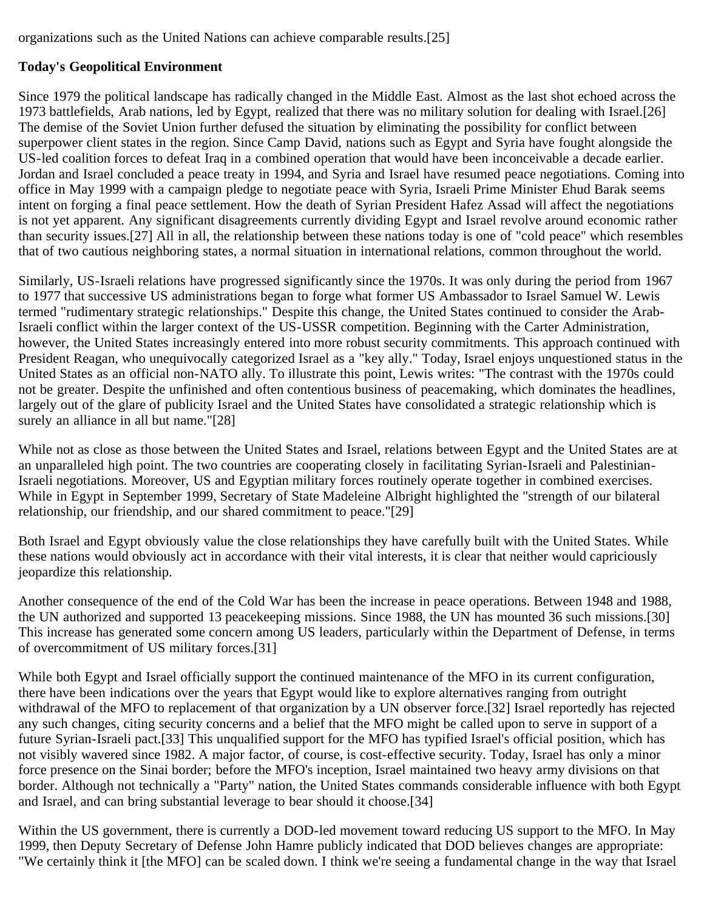organizations such as the United Nations can achieve comparable results.[25]

### **Today's Geopolitical Environment**

Since 1979 the political landscape has radically changed in the Middle East. Almost as the last shot echoed across the 1973 battlefields, Arab nations, led by Egypt, realized that there was no military solution for dealing with Israel.[26] The demise of the Soviet Union further defused the situation by eliminating the possibility for conflict between superpower client states in the region. Since Camp David, nations such as Egypt and Syria have fought alongside the US-led coalition forces to defeat Iraq in a combined operation that would have been inconceivable a decade earlier. Jordan and Israel concluded a peace treaty in 1994, and Syria and Israel have resumed peace negotiations. Coming into office in May 1999 with a campaign pledge to negotiate peace with Syria, Israeli Prime Minister Ehud Barak seems intent on forging a final peace settlement. How the death of Syrian President Hafez Assad will affect the negotiations is not yet apparent. Any significant disagreements currently dividing Egypt and Israel revolve around economic rather than security issues.[27] All in all, the relationship between these nations today is one of "cold peace" which resembles that of two cautious neighboring states, a normal situation in international relations, common throughout the world.

Similarly, US-Israeli relations have progressed significantly since the 1970s. It was only during the period from 1967 to 1977 that successive US administrations began to forge what former US Ambassador to Israel Samuel W. Lewis termed "rudimentary strategic relationships." Despite this change, the United States continued to consider the Arab-Israeli conflict within the larger context of the US-USSR competition. Beginning with the Carter Administration, however, the United States increasingly entered into more robust security commitments. This approach continued with President Reagan, who unequivocally categorized Israel as a "key ally." Today, Israel enjoys unquestioned status in the United States as an official non-NATO ally. To illustrate this point, Lewis writes: "The contrast with the 1970s could not be greater. Despite the unfinished and often contentious business of peacemaking, which dominates the headlines, largely out of the glare of publicity Israel and the United States have consolidated a strategic relationship which is surely an alliance in all but name."[28]

While not as close as those between the United States and Israel, relations between Egypt and the United States are at an unparalleled high point. The two countries are cooperating closely in facilitating Syrian-Israeli and Palestinian-Israeli negotiations. Moreover, US and Egyptian military forces routinely operate together in combined exercises. While in Egypt in September 1999, Secretary of State Madeleine Albright highlighted the "strength of our bilateral relationship, our friendship, and our shared commitment to peace."[29]

Both Israel and Egypt obviously value the close relationships they have carefully built with the United States. While these nations would obviously act in accordance with their vital interests, it is clear that neither would capriciously jeopardize this relationship.

Another consequence of the end of the Cold War has been the increase in peace operations. Between 1948 and 1988, the UN authorized and supported 13 peacekeeping missions. Since 1988, the UN has mounted 36 such missions.[30] This increase has generated some concern among US leaders, particularly within the Department of Defense, in terms of overcommitment of US military forces.[31]

While both Egypt and Israel officially support the continued maintenance of the MFO in its current configuration, there have been indications over the years that Egypt would like to explore alternatives ranging from outright withdrawal of the MFO to replacement of that organization by a UN observer force.[32] Israel reportedly has rejected any such changes, citing security concerns and a belief that the MFO might be called upon to serve in support of a future Syrian-Israeli pact.[33] This unqualified support for the MFO has typified Israel's official position, which has not visibly wavered since 1982. A major factor, of course, is cost-effective security. Today, Israel has only a minor force presence on the Sinai border; before the MFO's inception, Israel maintained two heavy army divisions on that border. Although not technically a "Party" nation, the United States commands considerable influence with both Egypt and Israel, and can bring substantial leverage to bear should it choose.[34]

Within the US government, there is currently a DOD-led movement toward reducing US support to the MFO. In May 1999, then Deputy Secretary of Defense John Hamre publicly indicated that DOD believes changes are appropriate: "We certainly think it [the MFO] can be scaled down. I think we're seeing a fundamental change in the way that Israel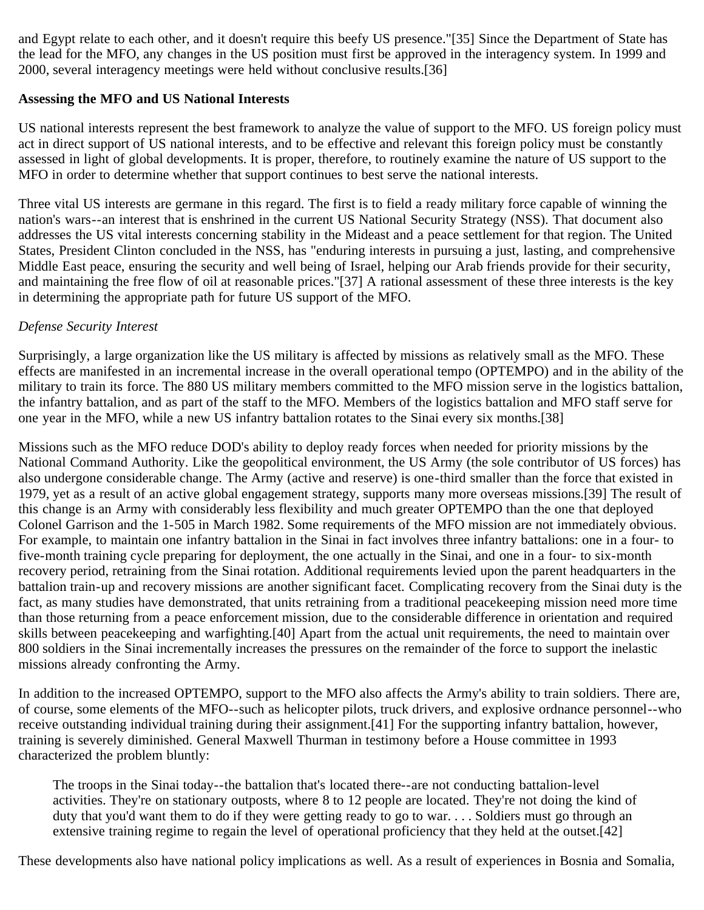and Egypt relate to each other, and it doesn't require this beefy US presence."[35] Since the Department of State has the lead for the MFO, any changes in the US position must first be approved in the interagency system. In 1999 and 2000, several interagency meetings were held without conclusive results.[36]

#### **Assessing the MFO and US National Interests**

US national interests represent the best framework to analyze the value of support to the MFO. US foreign policy must act in direct support of US national interests, and to be effective and relevant this foreign policy must be constantly assessed in light of global developments. It is proper, therefore, to routinely examine the nature of US support to the MFO in order to determine whether that support continues to best serve the national interests.

Three vital US interests are germane in this regard. The first is to field a ready military force capable of winning the nation's wars--an interest that is enshrined in the current US National Security Strategy (NSS). That document also addresses the US vital interests concerning stability in the Mideast and a peace settlement for that region. The United States, President Clinton concluded in the NSS, has "enduring interests in pursuing a just, lasting, and comprehensive Middle East peace, ensuring the security and well being of Israel, helping our Arab friends provide for their security, and maintaining the free flow of oil at reasonable prices."[37] A rational assessment of these three interests is the key in determining the appropriate path for future US support of the MFO.

### *Defense Security Interest*

Surprisingly, a large organization like the US military is affected by missions as relatively small as the MFO. These effects are manifested in an incremental increase in the overall operational tempo (OPTEMPO) and in the ability of the military to train its force. The 880 US military members committed to the MFO mission serve in the logistics battalion, the infantry battalion, and as part of the staff to the MFO. Members of the logistics battalion and MFO staff serve for one year in the MFO, while a new US infantry battalion rotates to the Sinai every six months.[38]

Missions such as the MFO reduce DOD's ability to deploy ready forces when needed for priority missions by the National Command Authority. Like the geopolitical environment, the US Army (the sole contributor of US forces) has also undergone considerable change. The Army (active and reserve) is one-third smaller than the force that existed in 1979, yet as a result of an active global engagement strategy, supports many more overseas missions.[39] The result of this change is an Army with considerably less flexibility and much greater OPTEMPO than the one that deployed Colonel Garrison and the 1-505 in March 1982. Some requirements of the MFO mission are not immediately obvious. For example, to maintain one infantry battalion in the Sinai in fact involves three infantry battalions: one in a four- to five-month training cycle preparing for deployment, the one actually in the Sinai, and one in a four- to six-month recovery period, retraining from the Sinai rotation. Additional requirements levied upon the parent headquarters in the battalion train-up and recovery missions are another significant facet. Complicating recovery from the Sinai duty is the fact, as many studies have demonstrated, that units retraining from a traditional peacekeeping mission need more time than those returning from a peace enforcement mission, due to the considerable difference in orientation and required skills between peacekeeping and warfighting.[40] Apart from the actual unit requirements, the need to maintain over 800 soldiers in the Sinai incrementally increases the pressures on the remainder of the force to support the inelastic missions already confronting the Army.

In addition to the increased OPTEMPO, support to the MFO also affects the Army's ability to train soldiers. There are, of course, some elements of the MFO--such as helicopter pilots, truck drivers, and explosive ordnance personnel--who receive outstanding individual training during their assignment.[41] For the supporting infantry battalion, however, training is severely diminished. General Maxwell Thurman in testimony before a House committee in 1993 characterized the problem bluntly:

The troops in the Sinai today--the battalion that's located there--are not conducting battalion-level activities. They're on stationary outposts, where 8 to 12 people are located. They're not doing the kind of duty that you'd want them to do if they were getting ready to go to war. . . . Soldiers must go through an extensive training regime to regain the level of operational proficiency that they held at the outset.[42]

These developments also have national policy implications as well. As a result of experiences in Bosnia and Somalia,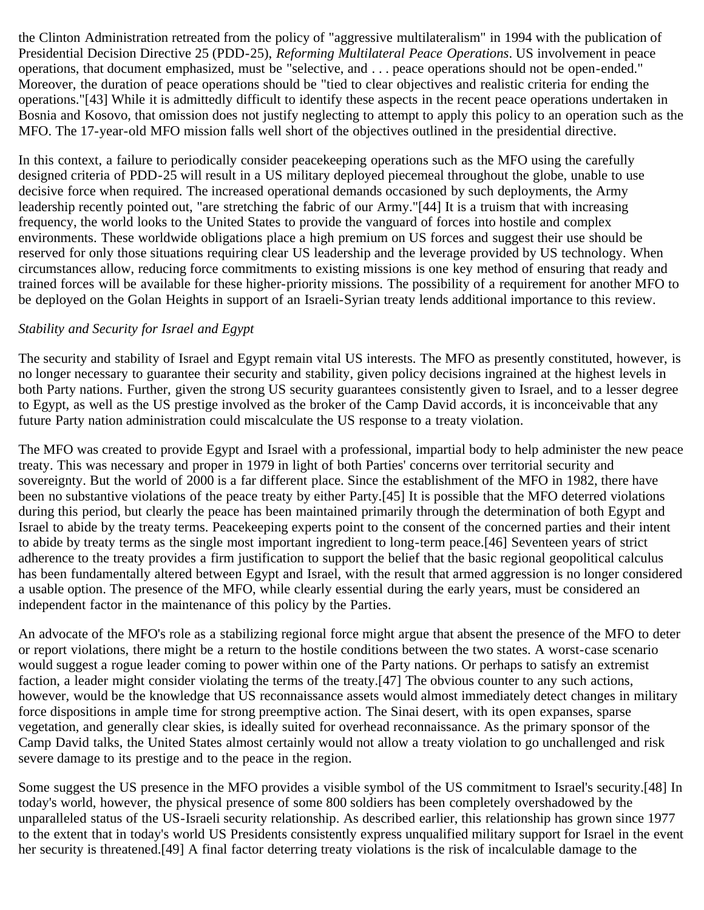the Clinton Administration retreated from the policy of "aggressive multilateralism" in 1994 with the publication of Presidential Decision Directive 25 (PDD-25), *Reforming Multilateral Peace Operations*. US involvement in peace operations, that document emphasized, must be "selective, and . . . peace operations should not be open-ended." Moreover, the duration of peace operations should be "tied to clear objectives and realistic criteria for ending the operations."[43] While it is admittedly difficult to identify these aspects in the recent peace operations undertaken in Bosnia and Kosovo, that omission does not justify neglecting to attempt to apply this policy to an operation such as the MFO. The 17-year-old MFO mission falls well short of the objectives outlined in the presidential directive.

In this context, a failure to periodically consider peacekeeping operations such as the MFO using the carefully designed criteria of PDD-25 will result in a US military deployed piecemeal throughout the globe, unable to use decisive force when required. The increased operational demands occasioned by such deployments, the Army leadership recently pointed out, "are stretching the fabric of our Army."[44] It is a truism that with increasing frequency, the world looks to the United States to provide the vanguard of forces into hostile and complex environments. These worldwide obligations place a high premium on US forces and suggest their use should be reserved for only those situations requiring clear US leadership and the leverage provided by US technology. When circumstances allow, reducing force commitments to existing missions is one key method of ensuring that ready and trained forces will be available for these higher-priority missions. The possibility of a requirement for another MFO to be deployed on the Golan Heights in support of an Israeli-Syrian treaty lends additional importance to this review.

#### *Stability and Security for Israel and Egypt*

The security and stability of Israel and Egypt remain vital US interests. The MFO as presently constituted, however, is no longer necessary to guarantee their security and stability, given policy decisions ingrained at the highest levels in both Party nations. Further, given the strong US security guarantees consistently given to Israel, and to a lesser degree to Egypt, as well as the US prestige involved as the broker of the Camp David accords, it is inconceivable that any future Party nation administration could miscalculate the US response to a treaty violation.

The MFO was created to provide Egypt and Israel with a professional, impartial body to help administer the new peace treaty. This was necessary and proper in 1979 in light of both Parties' concerns over territorial security and sovereignty. But the world of 2000 is a far different place. Since the establishment of the MFO in 1982, there have been no substantive violations of the peace treaty by either Party.[45] It is possible that the MFO deterred violations during this period, but clearly the peace has been maintained primarily through the determination of both Egypt and Israel to abide by the treaty terms. Peacekeeping experts point to the consent of the concerned parties and their intent to abide by treaty terms as the single most important ingredient to long-term peace.[46] Seventeen years of strict adherence to the treaty provides a firm justification to support the belief that the basic regional geopolitical calculus has been fundamentally altered between Egypt and Israel, with the result that armed aggression is no longer considered a usable option. The presence of the MFO, while clearly essential during the early years, must be considered an independent factor in the maintenance of this policy by the Parties.

An advocate of the MFO's role as a stabilizing regional force might argue that absent the presence of the MFO to deter or report violations, there might be a return to the hostile conditions between the two states. A worst-case scenario would suggest a rogue leader coming to power within one of the Party nations. Or perhaps to satisfy an extremist faction, a leader might consider violating the terms of the treaty.[47] The obvious counter to any such actions, however, would be the knowledge that US reconnaissance assets would almost immediately detect changes in military force dispositions in ample time for strong preemptive action. The Sinai desert, with its open expanses, sparse vegetation, and generally clear skies, is ideally suited for overhead reconnaissance. As the primary sponsor of the Camp David talks, the United States almost certainly would not allow a treaty violation to go unchallenged and risk severe damage to its prestige and to the peace in the region.

Some suggest the US presence in the MFO provides a visible symbol of the US commitment to Israel's security.[48] In today's world, however, the physical presence of some 800 soldiers has been completely overshadowed by the unparalleled status of the US-Israeli security relationship. As described earlier, this relationship has grown since 1977 to the extent that in today's world US Presidents consistently express unqualified military support for Israel in the event her security is threatened.[49] A final factor deterring treaty violations is the risk of incalculable damage to the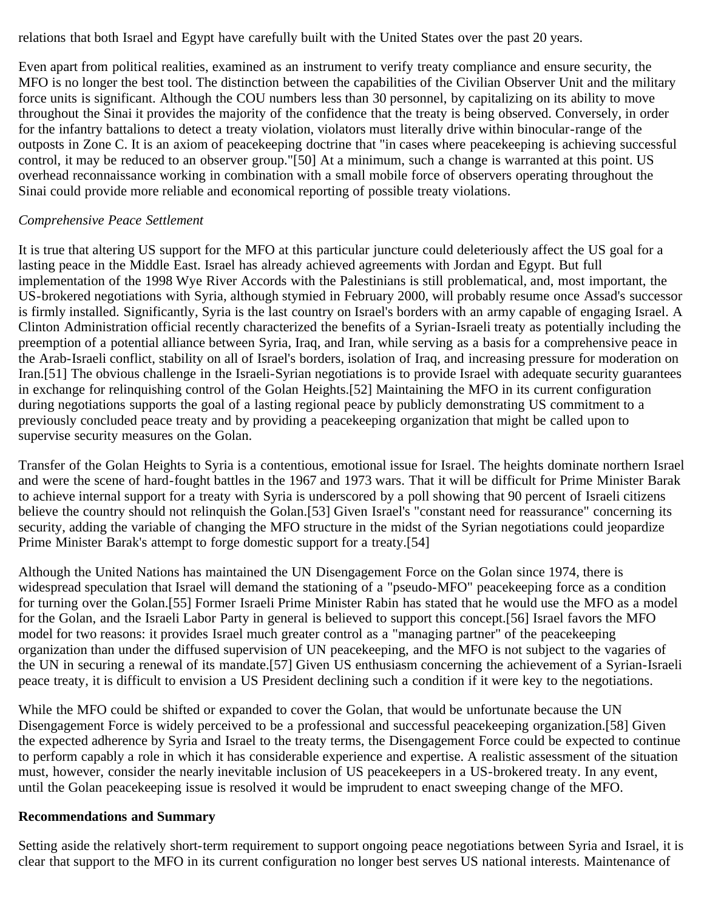relations that both Israel and Egypt have carefully built with the United States over the past 20 years.

Even apart from political realities, examined as an instrument to verify treaty compliance and ensure security, the MFO is no longer the best tool. The distinction between the capabilities of the Civilian Observer Unit and the military force units is significant. Although the COU numbers less than 30 personnel, by capitalizing on its ability to move throughout the Sinai it provides the majority of the confidence that the treaty is being observed. Conversely, in order for the infantry battalions to detect a treaty violation, violators must literally drive within binocular-range of the outposts in Zone C. It is an axiom of peacekeeping doctrine that "in cases where peacekeeping is achieving successful control, it may be reduced to an observer group."[50] At a minimum, such a change is warranted at this point. US overhead reconnaissance working in combination with a small mobile force of observers operating throughout the Sinai could provide more reliable and economical reporting of possible treaty violations.

#### *Comprehensive Peace Settlement*

It is true that altering US support for the MFO at this particular juncture could deleteriously affect the US goal for a lasting peace in the Middle East. Israel has already achieved agreements with Jordan and Egypt. But full implementation of the 1998 Wye River Accords with the Palestinians is still problematical, and, most important, the US-brokered negotiations with Syria, although stymied in February 2000, will probably resume once Assad's successor is firmly installed. Significantly, Syria is the last country on Israel's borders with an army capable of engaging Israel. A Clinton Administration official recently characterized the benefits of a Syrian-Israeli treaty as potentially including the preemption of a potential alliance between Syria, Iraq, and Iran, while serving as a basis for a comprehensive peace in the Arab-Israeli conflict, stability on all of Israel's borders, isolation of Iraq, and increasing pressure for moderation on Iran.[51] The obvious challenge in the Israeli-Syrian negotiations is to provide Israel with adequate security guarantees in exchange for relinquishing control of the Golan Heights.[52] Maintaining the MFO in its current configuration during negotiations supports the goal of a lasting regional peace by publicly demonstrating US commitment to a previously concluded peace treaty and by providing a peacekeeping organization that might be called upon to supervise security measures on the Golan.

Transfer of the Golan Heights to Syria is a contentious, emotional issue for Israel. The heights dominate northern Israel and were the scene of hard-fought battles in the 1967 and 1973 wars. That it will be difficult for Prime Minister Barak to achieve internal support for a treaty with Syria is underscored by a poll showing that 90 percent of Israeli citizens believe the country should not relinquish the Golan.[53] Given Israel's "constant need for reassurance" concerning its security, adding the variable of changing the MFO structure in the midst of the Syrian negotiations could jeopardize Prime Minister Barak's attempt to forge domestic support for a treaty.[54]

Although the United Nations has maintained the UN Disengagement Force on the Golan since 1974, there is widespread speculation that Israel will demand the stationing of a "pseudo-MFO" peacekeeping force as a condition for turning over the Golan.[55] Former Israeli Prime Minister Rabin has stated that he would use the MFO as a model for the Golan, and the Israeli Labor Party in general is believed to support this concept.[56] Israel favors the MFO model for two reasons: it provides Israel much greater control as a "managing partner" of the peacekeeping organization than under the diffused supervision of UN peacekeeping, and the MFO is not subject to the vagaries of the UN in securing a renewal of its mandate.[57] Given US enthusiasm concerning the achievement of a Syrian-Israeli peace treaty, it is difficult to envision a US President declining such a condition if it were key to the negotiations.

While the MFO could be shifted or expanded to cover the Golan, that would be unfortunate because the UN Disengagement Force is widely perceived to be a professional and successful peacekeeping organization.[58] Given the expected adherence by Syria and Israel to the treaty terms, the Disengagement Force could be expected to continue to perform capably a role in which it has considerable experience and expertise. A realistic assessment of the situation must, however, consider the nearly inevitable inclusion of US peacekeepers in a US-brokered treaty. In any event, until the Golan peacekeeping issue is resolved it would be imprudent to enact sweeping change of the MFO.

#### **Recommendations and Summary**

Setting aside the relatively short-term requirement to support ongoing peace negotiations between Syria and Israel, it is clear that support to the MFO in its current configuration no longer best serves US national interests. Maintenance of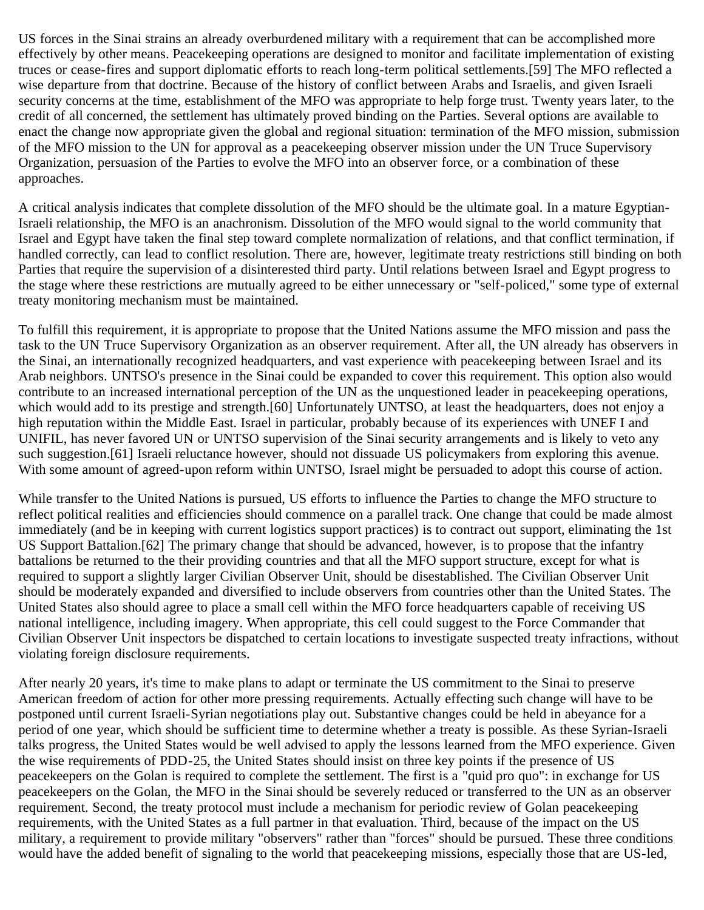US forces in the Sinai strains an already overburdened military with a requirement that can be accomplished more effectively by other means. Peacekeeping operations are designed to monitor and facilitate implementation of existing truces or cease-fires and support diplomatic efforts to reach long-term political settlements.[59] The MFO reflected a wise departure from that doctrine. Because of the history of conflict between Arabs and Israelis, and given Israeli security concerns at the time, establishment of the MFO was appropriate to help forge trust. Twenty years later, to the credit of all concerned, the settlement has ultimately proved binding on the Parties. Several options are available to enact the change now appropriate given the global and regional situation: termination of the MFO mission, submission of the MFO mission to the UN for approval as a peacekeeping observer mission under the UN Truce Supervisory Organization, persuasion of the Parties to evolve the MFO into an observer force, or a combination of these approaches.

A critical analysis indicates that complete dissolution of the MFO should be the ultimate goal. In a mature Egyptian-Israeli relationship, the MFO is an anachronism. Dissolution of the MFO would signal to the world community that Israel and Egypt have taken the final step toward complete normalization of relations, and that conflict termination, if handled correctly, can lead to conflict resolution. There are, however, legitimate treaty restrictions still binding on both Parties that require the supervision of a disinterested third party. Until relations between Israel and Egypt progress to the stage where these restrictions are mutually agreed to be either unnecessary or "self-policed," some type of external treaty monitoring mechanism must be maintained.

To fulfill this requirement, it is appropriate to propose that the United Nations assume the MFO mission and pass the task to the UN Truce Supervisory Organization as an observer requirement. After all, the UN already has observers in the Sinai, an internationally recognized headquarters, and vast experience with peacekeeping between Israel and its Arab neighbors. UNTSO's presence in the Sinai could be expanded to cover this requirement. This option also would contribute to an increased international perception of the UN as the unquestioned leader in peacekeeping operations, which would add to its prestige and strength.[60] Unfortunately UNTSO, at least the headquarters, does not enjoy a high reputation within the Middle East. Israel in particular, probably because of its experiences with UNEF I and UNIFIL, has never favored UN or UNTSO supervision of the Sinai security arrangements and is likely to veto any such suggestion.[61] Israeli reluctance however, should not dissuade US policymakers from exploring this avenue. With some amount of agreed-upon reform within UNTSO, Israel might be persuaded to adopt this course of action.

While transfer to the United Nations is pursued, US efforts to influence the Parties to change the MFO structure to reflect political realities and efficiencies should commence on a parallel track. One change that could be made almost immediately (and be in keeping with current logistics support practices) is to contract out support, eliminating the 1st US Support Battalion.[62] The primary change that should be advanced, however, is to propose that the infantry battalions be returned to the their providing countries and that all the MFO support structure, except for what is required to support a slightly larger Civilian Observer Unit, should be disestablished. The Civilian Observer Unit should be moderately expanded and diversified to include observers from countries other than the United States. The United States also should agree to place a small cell within the MFO force headquarters capable of receiving US national intelligence, including imagery. When appropriate, this cell could suggest to the Force Commander that Civilian Observer Unit inspectors be dispatched to certain locations to investigate suspected treaty infractions, without violating foreign disclosure requirements.

After nearly 20 years, it's time to make plans to adapt or terminate the US commitment to the Sinai to preserve American freedom of action for other more pressing requirements. Actually effecting such change will have to be postponed until current Israeli-Syrian negotiations play out. Substantive changes could be held in abeyance for a period of one year, which should be sufficient time to determine whether a treaty is possible. As these Syrian-Israeli talks progress, the United States would be well advised to apply the lessons learned from the MFO experience. Given the wise requirements of PDD-25, the United States should insist on three key points if the presence of US peacekeepers on the Golan is required to complete the settlement. The first is a "quid pro quo": in exchange for US peacekeepers on the Golan, the MFO in the Sinai should be severely reduced or transferred to the UN as an observer requirement. Second, the treaty protocol must include a mechanism for periodic review of Golan peacekeeping requirements, with the United States as a full partner in that evaluation. Third, because of the impact on the US military, a requirement to provide military "observers" rather than "forces" should be pursued. These three conditions would have the added benefit of signaling to the world that peacekeeping missions, especially those that are US-led,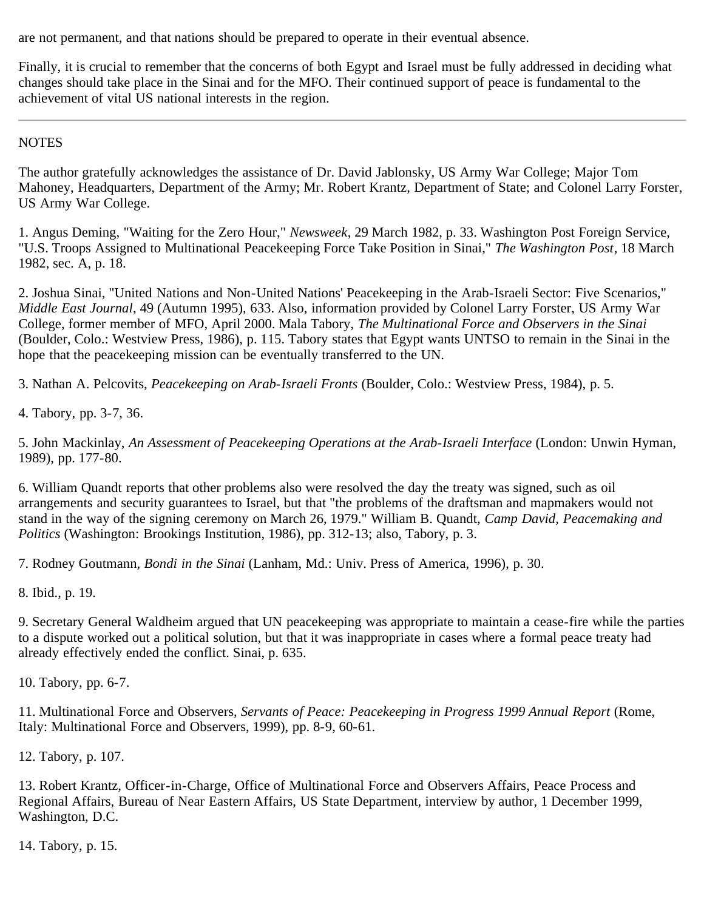are not permanent, and that nations should be prepared to operate in their eventual absence.

Finally, it is crucial to remember that the concerns of both Egypt and Israel must be fully addressed in deciding what changes should take place in the Sinai and for the MFO. Their continued support of peace is fundamental to the achievement of vital US national interests in the region.

**NOTES** 

The author gratefully acknowledges the assistance of Dr. David Jablonsky, US Army War College; Major Tom Mahoney, Headquarters, Department of the Army; Mr. Robert Krantz, Department of State; and Colonel Larry Forster, US Army War College.

1. Angus Deming, "Waiting for the Zero Hour," *Newsweek*, 29 March 1982, p. 33. Washington Post Foreign Service, "U.S. Troops Assigned to Multinational Peacekeeping Force Take Position in Sinai," *The Washington Post*, 18 March 1982, sec. A, p. 18.

2. Joshua Sinai, "United Nations and Non-United Nations' Peacekeeping in the Arab-Israeli Sector: Five Scenarios," *Middle East Journal*, 49 (Autumn 1995), 633. Also, information provided by Colonel Larry Forster, US Army War College, former member of MFO, April 2000. Mala Tabory, *The Multinational Force and Observers in the Sinai* (Boulder, Colo.: Westview Press, 1986), p. 115. Tabory states that Egypt wants UNTSO to remain in the Sinai in the hope that the peacekeeping mission can be eventually transferred to the UN.

3. Nathan A. Pelcovits, *Peacekeeping on Arab-Israeli Fronts* (Boulder, Colo.: Westview Press, 1984), p. 5.

4. Tabory, pp. 3-7, 36.

5. John Mackinlay, *An Assessment of Peacekeeping Operations at the Arab-Israeli Interface* (London: Unwin Hyman, 1989), pp. 177-80.

6. William Quandt reports that other problems also were resolved the day the treaty was signed, such as oil arrangements and security guarantees to Israel, but that "the problems of the draftsman and mapmakers would not stand in the way of the signing ceremony on March 26, 1979." William B. Quandt, *Camp David, Peacemaking and Politics* (Washington: Brookings Institution, 1986), pp. 312-13; also, Tabory, p. 3.

7. Rodney Goutmann, *Bondi in the Sinai* (Lanham, Md.: Univ. Press of America, 1996), p. 30.

8. Ibid., p. 19.

9. Secretary General Waldheim argued that UN peacekeeping was appropriate to maintain a cease-fire while the parties to a dispute worked out a political solution, but that it was inappropriate in cases where a formal peace treaty had already effectively ended the conflict. Sinai, p. 635.

10. Tabory, pp. 6-7.

11. Multinational Force and Observers, *Servants of Peace: Peacekeeping in Progress 1999 Annual Report* (Rome, Italy: Multinational Force and Observers, 1999), pp. 8-9, 60-61.

12. Tabory, p. 107.

13. Robert Krantz, Officer-in-Charge, Office of Multinational Force and Observers Affairs, Peace Process and Regional Affairs, Bureau of Near Eastern Affairs, US State Department, interview by author, 1 December 1999, Washington, D.C.

14. Tabory, p. 15.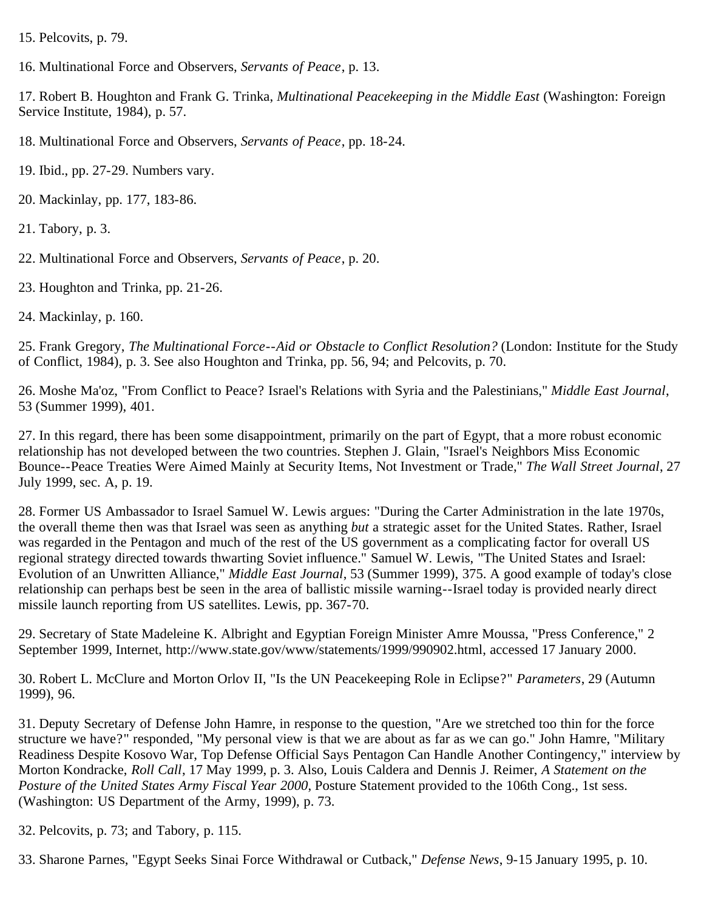15. Pelcovits, p. 79.

16. Multinational Force and Observers, *Servants of Peace*, p. 13.

17. Robert B. Houghton and Frank G. Trinka, *Multinational Peacekeeping in the Middle East* (Washington: Foreign Service Institute, 1984), p. 57.

18. Multinational Force and Observers, *Servants of Peace*, pp. 18-24.

19. Ibid., pp. 27-29. Numbers vary.

20. Mackinlay, pp. 177, 183-86.

21. Tabory, p. 3.

22. Multinational Force and Observers, *Servants of Peace*, p. 20.

23. Houghton and Trinka, pp. 21-26.

24. Mackinlay, p. 160.

25. Frank Gregory, *The Multinational Force--Aid or Obstacle to Conflict Resolution?* (London: Institute for the Study of Conflict, 1984), p. 3. See also Houghton and Trinka, pp. 56, 94; and Pelcovits, p. 70.

26. Moshe Ma'oz, "From Conflict to Peace? Israel's Relations with Syria and the Palestinians," *Middle East Journal*, 53 (Summer 1999), 401.

27. In this regard, there has been some disappointment, primarily on the part of Egypt, that a more robust economic relationship has not developed between the two countries. Stephen J. Glain, "Israel's Neighbors Miss Economic Bounce--Peace Treaties Were Aimed Mainly at Security Items, Not Investment or Trade," *The Wall Street Journal*, 27 July 1999, sec. A, p. 19.

28. Former US Ambassador to Israel Samuel W. Lewis argues: "During the Carter Administration in the late 1970s, the overall theme then was that Israel was seen as anything *but* a strategic asset for the United States. Rather, Israel was regarded in the Pentagon and much of the rest of the US government as a complicating factor for overall US regional strategy directed towards thwarting Soviet influence." Samuel W. Lewis, "The United States and Israel: Evolution of an Unwritten Alliance," *Middle East Journal*, 53 (Summer 1999), 375. A good example of today's close relationship can perhaps best be seen in the area of ballistic missile warning--Israel today is provided nearly direct missile launch reporting from US satellites. Lewis, pp. 367-70.

29. Secretary of State Madeleine K. Albright and Egyptian Foreign Minister Amre Moussa, "Press Conference," 2 September 1999, Internet, http://www.state.gov/www/statements/1999/990902.html, accessed 17 January 2000.

30. Robert L. McClure and Morton Orlov II, "Is the UN Peacekeeping Role in Eclipse?" *Parameters*, 29 (Autumn 1999), 96.

31. Deputy Secretary of Defense John Hamre, in response to the question, "Are we stretched too thin for the force structure we have?" responded, "My personal view is that we are about as far as we can go." John Hamre, "Military Readiness Despite Kosovo War, Top Defense Official Says Pentagon Can Handle Another Contingency," interview by Morton Kondracke, *Roll Call*, 17 May 1999, p. 3. Also, Louis Caldera and Dennis J. Reimer, *A Statement on the Posture of the United States Army Fiscal Year 2000*, Posture Statement provided to the 106th Cong., 1st sess. (Washington: US Department of the Army, 1999), p. 73.

```
32. Pelcovits, p. 73; and Tabory, p. 115.
```
33. Sharone Parnes, "Egypt Seeks Sinai Force Withdrawal or Cutback," *Defense News*, 9-15 January 1995, p. 10.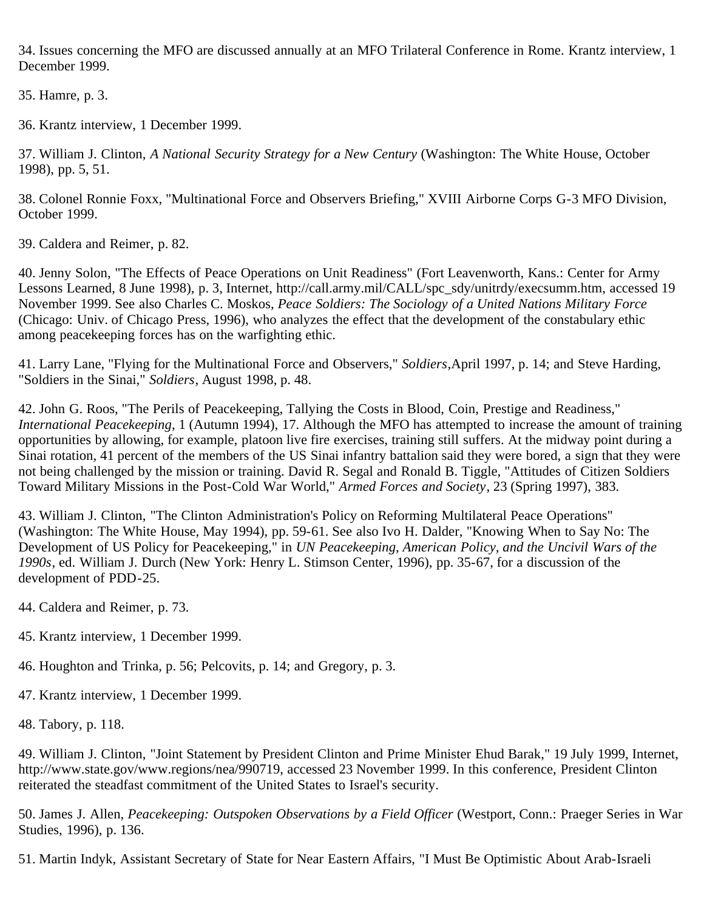34. Issues concerning the MFO are discussed annually at an MFO Trilateral Conference in Rome. Krantz interview, 1 December 1999.

35. Hamre, p. 3.

36. Krantz interview, 1 December 1999.

37. William J. Clinton, *A National Security Strategy for a New Century* (Washington: The White House, October 1998), pp. 5, 51.

38. Colonel Ronnie Foxx, "Multinational Force and Observers Briefing," XVIII Airborne Corps G-3 MFO Division, October 1999.

39. Caldera and Reimer, p. 82.

40. Jenny Solon, "The Effects of Peace Operations on Unit Readiness" (Fort Leavenworth, Kans.: Center for Army Lessons Learned, 8 June 1998), p. 3, Internet, http://call.army.mil/CALL/spc\_sdy/unitrdy/execsumm.htm, accessed 19 November 1999. See also Charles C. Moskos, *Peace Soldiers: The Sociology of a United Nations Military Force* (Chicago: Univ. of Chicago Press, 1996), who analyzes the effect that the development of the constabulary ethic among peacekeeping forces has on the warfighting ethic.

41. Larry Lane, "Flying for the Multinational Force and Observers," *Soldiers*,April 1997, p. 14; and Steve Harding, "Soldiers in the Sinai," *Soldiers*, August 1998, p. 48.

42. John G. Roos, "The Perils of Peacekeeping, Tallying the Costs in Blood, Coin, Prestige and Readiness," *International Peacekeeping*, 1 (Autumn 1994), 17. Although the MFO has attempted to increase the amount of training opportunities by allowing, for example, platoon live fire exercises, training still suffers. At the midway point during a Sinai rotation, 41 percent of the members of the US Sinai infantry battalion said they were bored, a sign that they were not being challenged by the mission or training. David R. Segal and Ronald B. Tiggle, "Attitudes of Citizen Soldiers Toward Military Missions in the Post-Cold War World," *Armed Forces and Society*, 23 (Spring 1997), 383.

43. William J. Clinton, "The Clinton Administration's Policy on Reforming Multilateral Peace Operations" (Washington: The White House, May 1994), pp. 59-61. See also Ivo H. Dalder, "Knowing When to Say No: The Development of US Policy for Peacekeeping," in *UN Peacekeeping, American Policy, and the Uncivil Wars of the 1990s*, ed. William J. Durch (New York: Henry L. Stimson Center, 1996), pp. 35-67, for a discussion of the development of PDD-25.

- 44. Caldera and Reimer, p. 73.
- 45. Krantz interview, 1 December 1999.
- 46. Houghton and Trinka, p. 56; Pelcovits, p. 14; and Gregory, p. 3.
- 47. Krantz interview, 1 December 1999.

48. Tabory, p. 118.

49. William J. Clinton, "Joint Statement by President Clinton and Prime Minister Ehud Barak," 19 July 1999, Internet, http://www.state.gov/www.regions/nea/990719, accessed 23 November 1999. In this conference, President Clinton reiterated the steadfast commitment of the United States to Israel's security.

50. James J. Allen, *Peacekeeping: Outspoken Observations by a Field Officer* (Westport, Conn.: Praeger Series in War Studies, 1996), p. 136.

51. Martin Indyk, Assistant Secretary of State for Near Eastern Affairs, "I Must Be Optimistic About Arab-Israeli